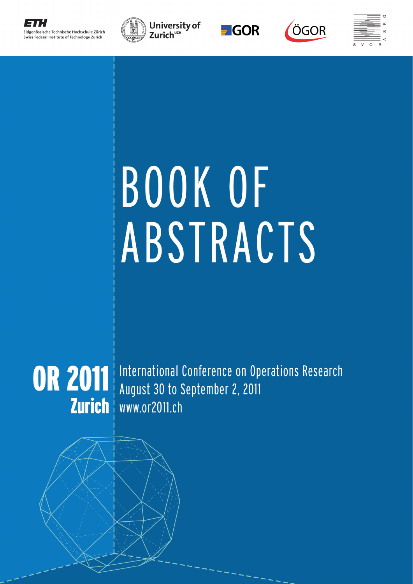







# BOOK OF ABSTRACTS



OR 2011 International Conference on Operations Research August 30 to September 2, 2011 Zurich | www.or2011.ch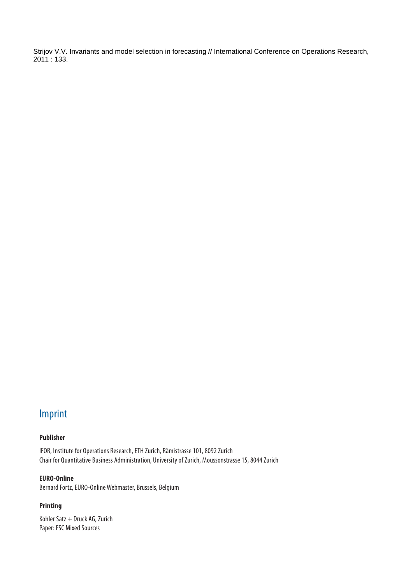Strijov V.V. Invariants and model selection in forecasting // International Conference on Operations Research, 2011 : 133.

# Imprint

# **Publisher**

IFOR, Institute for Operations Research, ETH Zurich, Rämistrasse 101, 8092 Zurich Chair for Quantitative Business Administration, University of Zurich, Moussonstrasse 15, 8044 Zurich

# **EURO-Online**

Bernard Fortz, EURO-Online Webmaster, Brussels, Belgium

# **Printing**

Kohler Satz + Druck AG, Zurich Paper: FSC Mixed Sources